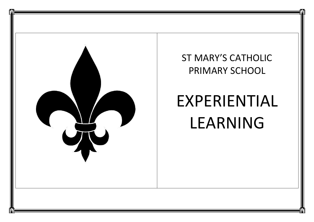

## ST MARY'S CATHOLIC PRIMARY SCHOOL

## EXPERIENTIAL LEARNING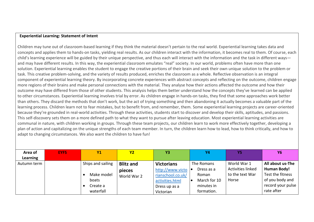## **Experiential Learning: Statement of Intent**

Children may tune out of classroom-based learning if they think the material doesn't pertain to the real world. Experiential learning takes data and concepts and applies them to hands-on tasks, yielding real results. As our children interact with the information, it becomes real to them. Of course, each child's learning experience will be guided by their unique perspective, and thus each will interact with the information and the task in different ways and may have different results. In this way, the experiential classroom emulates "real" society. In our world, problems often have more than one solution. Experiential learning enables the student to engage the creative portions of their brain and seek their own unique solution to the problem or task. This creative problem-solving, and the variety of results produced, enriches the classroom as a whole. Reflective observation is an integral component of experiential learning theory. By incorporating concrete experiences with abstract concepts and reflecting on the outcome, children engage more regions of their brains and make personal connections with the material. They analyse how their actions affected the outcome and how their outcome may have differed from those of other students. This analysis helps them better understand how the concepts they've learned can be applied to other circumstances. Experiential learning involves trial by error. As children engage in hands-on tasks, they find that some approaches work better than others. They discard the methods that don't work, but the act of trying something and then abandoning it actually becomes a valuable part of the learning process. Children learn not to fear mistakes, but to benefit from, and remember, them. Some experiential learning projects are career-oriented because they're grounded in real-world activities. Through these activities, students start to discover and develop their skills, aptitudes, and passions. This self-discovery sets them on a more defined path to what they want to pursue after leaving education. Most experiential learning activities are communal in nature, with children working in groups. Through these team projects, our children learn to work more effectively together, developing a plan of action and capitalizing on the unique strengths of each team member. In turn, the children learn how to lead, how to think critically, and how to adapt to changing circumstances. We also want the children to have fun!

| Area of     | <b>EYFS</b> | <b>Y1</b>         | <b>Y2</b>        | Y3                         | Y4                  | Y5                       | <b>Y6</b>          |
|-------------|-------------|-------------------|------------------|----------------------------|---------------------|--------------------------|--------------------|
| Learning    |             |                   |                  |                            |                     |                          |                    |
| Autumn term |             | Ships and sailing | <b>Blitz and</b> | <b>Victorians</b>          | The Romans          | World War 1              | All about us-The   |
|             |             |                   | pieces           | http://www.victo $\bullet$ | Dress as a          | <b>Activities linked</b> | <b>Human Body!</b> |
|             |             | Make model        | World War 2      | rianschool.co.uk/          | Roman               | to the text War          | Test the fitness   |
|             |             | boats             |                  | activities.html            | March for 10<br>∣ ● | Horse                    | of you body and    |
|             |             | Create a          |                  | Dress up as a              | minutes in          |                          | record your pulse  |
|             |             | waterfall         |                  | Victorian                  | formation.          |                          | rate after         |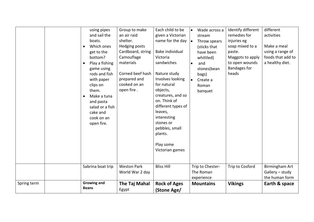|             | using pipes<br>and sail the<br>boats.<br>Which ones<br>$\bullet$<br>get to the<br>bottom?<br>Play a fishing<br>$\bullet$<br>game using<br>rods and fish<br>with paper<br>clips on<br>them.<br>Make a tuna<br>and pasta<br>salad or a fish<br>cake and<br>cook on an<br>open fire. | Group to make<br>an air raid<br>shelter.<br>Hedging posts<br>Cardboard, string<br>Camouflage<br>materials<br>Corned beef hash<br>prepared and<br>cooked on an<br>open fire. | Each child to be<br>given a Victorian<br>name for the day<br>Bake individual<br>Victoria<br>sandwiches<br>Nature study<br>Involves looking<br>for natural<br>objects,<br>creatures, and so<br>on. Think of<br>different types of<br>leaves,<br>interesting<br>stones or<br>pebbles, small<br>plants.<br>Play some<br>Victorian games | Wade across a<br>$\bullet$<br>stream<br>Throw spears<br>$\bullet$<br>(sticks that<br>have been<br>whittled)<br>and<br>$\bullet$<br>stones(bean<br>bags)<br>$\bullet$<br>Create a<br>Roman<br>banquet | Identify different<br>remedies for<br>injuries eg<br>soap mixed to a<br>paste.<br>Maggots to apply<br>to open wounds<br><b>Bandages for</b><br>heads | different<br>activities<br>Make a meal<br>using a range of<br>foods that add to<br>a healthy diet. |
|-------------|-----------------------------------------------------------------------------------------------------------------------------------------------------------------------------------------------------------------------------------------------------------------------------------|-----------------------------------------------------------------------------------------------------------------------------------------------------------------------------|--------------------------------------------------------------------------------------------------------------------------------------------------------------------------------------------------------------------------------------------------------------------------------------------------------------------------------------|------------------------------------------------------------------------------------------------------------------------------------------------------------------------------------------------------|------------------------------------------------------------------------------------------------------------------------------------------------------|----------------------------------------------------------------------------------------------------|
|             | Sabrina boat trip                                                                                                                                                                                                                                                                 | <b>Weston Park</b><br>World War 2 day                                                                                                                                       | <b>Bliss Hill</b>                                                                                                                                                                                                                                                                                                                    | Trip to Chester-<br>The Roman<br>experience                                                                                                                                                          | Trip to Cosford                                                                                                                                      | Birmingham Art<br>$G$ allery – study<br>the human form                                             |
| Spring term | <b>Growing and</b><br><b>Beans</b>                                                                                                                                                                                                                                                | The Taj Mahal<br>Egypt                                                                                                                                                      | <b>Rock of Ages</b><br>(Stone Age/                                                                                                                                                                                                                                                                                                   | <b>Mountains</b>                                                                                                                                                                                     | <b>Vikings</b>                                                                                                                                       | Earth & space                                                                                      |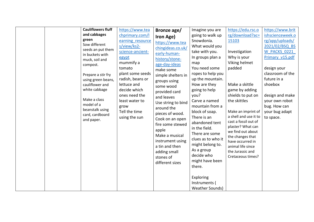|                                   | <b>Cauliflowers fluff</b><br>https://www.tea | Bronze age/        | Imagine you are        | https://edu.rsc.o                      | https://www.brit |
|-----------------------------------|----------------------------------------------|--------------------|------------------------|----------------------------------------|------------------|
| and cabbages                      | chprimary.com/l                              | Iron Age)          | going to walk up       | rg/download?ac=                        | ishscienceweek.o |
| green                             | earning resource                             | https://www.tea    | Snowdonia.             | 15103                                  | rg/app/uploads/  |
| Sow different                     | s/view/ks2-                                  | chingideas.co.uk/  | What would you         |                                        | 2021/02/BSQ BS   |
|                                   | seeds an put them<br>science-ancient-        | early-human-       | take with you.         | Investigation                          | W PACKS 0221     |
| in buckets with<br>muck, soil and | egypt                                        | history/stone-     | In groups plan a       | Why is your                            | Primary v15.pdf  |
| compost.                          | mummify a                                    | age-day-ideas      | map                    | Viking helmet                          |                  |
|                                   | tomato                                       | make some          | You need some          | padded                                 | design your      |
|                                   | plant some seeds<br>Prepare a stir fry       | simple shelters in | ropes to help you      |                                        | classroom of the |
|                                   | radish, beans or<br>using green beans,       | groups using       | up the mountain.       |                                        | future in a      |
| cauliflower and                   | lettuce and                                  | some wood          | How are they           | Make a skittle                         | shoebox          |
| white cabbage                     | decide which                                 | provided card      | going to help          | game by adding                         |                  |
|                                   | ones need the                                | and leaves         | you?                   | shields to put on                      | design and make  |
| Make a class                      | least water to                               | Use string to bind | Carve a named          | the skittles                           | your own robot   |
| model of a                        | grow                                         | around the         | mountain from a        |                                        | bug. How can     |
| beanstalk using                   | Tell the time<br>card, cardboard             | pieces of wood.    | block of soap.         | Make an imprint of                     | your bug adapt   |
| and paper.                        | using the sun                                | Cook on an open    | There is an            | a shell and use it to                  | to space.        |
|                                   |                                              | fire some stewed   | abandoned tent         | cast a fossil out of                   |                  |
|                                   |                                              | apple              | in the field.          | plaster? What can<br>we find out about |                  |
|                                   |                                              | Make a musical     | There are some         | the changes that                       |                  |
|                                   |                                              | instrument using   | clues as to who it     | have occurred in                       |                  |
|                                   |                                              | a tin and then     | might belong to.       | animal life since                      |                  |
|                                   |                                              | adding small       | As a group             | the Jurassic and                       |                  |
|                                   |                                              | stones of          | decide who             | Cretaceous times?                      |                  |
|                                   |                                              | different sizes    | might have been        |                                        |                  |
|                                   |                                              |                    | there.                 |                                        |                  |
|                                   |                                              |                    |                        |                                        |                  |
|                                   |                                              |                    | Exploring              |                                        |                  |
|                                   |                                              |                    | Instruments (          |                                        |                  |
|                                   |                                              |                    | <b>Weather Sounds)</b> |                                        |                  |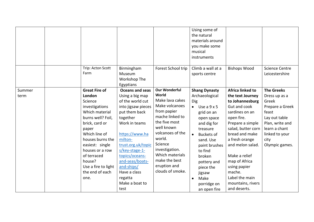|                | Trip: Acton Scott<br>Farm                                                                                                                                                                                                                                                           | Birmingham<br>Museum<br>Workshop The                                                                                                                                                                                                                                                                                        | Forest School trip                                                                                                                                                                                                                                                     | Using some of<br>the natural<br>materials around<br>you make some<br>musical<br>instruments<br>Climb a wall at a<br>sports centre                                                                                                                                                                                             | <b>Bishops Wood</b>                                                                                                                                                                                                                                                                                                          | <b>Science Centre</b><br>Leicestershire                                                                                                                                  |
|----------------|-------------------------------------------------------------------------------------------------------------------------------------------------------------------------------------------------------------------------------------------------------------------------------------|-----------------------------------------------------------------------------------------------------------------------------------------------------------------------------------------------------------------------------------------------------------------------------------------------------------------------------|------------------------------------------------------------------------------------------------------------------------------------------------------------------------------------------------------------------------------------------------------------------------|-------------------------------------------------------------------------------------------------------------------------------------------------------------------------------------------------------------------------------------------------------------------------------------------------------------------------------|------------------------------------------------------------------------------------------------------------------------------------------------------------------------------------------------------------------------------------------------------------------------------------------------------------------------------|--------------------------------------------------------------------------------------------------------------------------------------------------------------------------|
| Summer<br>term | <b>Great Fire of</b><br>London<br>Science<br>investigations<br>Which material<br>burns well? Foil,<br>brick, card or<br>paper<br>Which line of<br>houses burns the<br>easiest: single<br>houses or a row<br>of terraced<br>house?<br>Use a fire to light<br>the end of each<br>one. | Egyptians<br><b>Oceans and seas</b><br>Using a big map<br>of the world cut<br>into jigsaw pieces<br>put them back<br>together<br>Work in teams<br>https://www.ha<br>milton-<br>trust.org.uk/topic<br>s/key-stage-1-<br>topics/oceans-<br>and-seas/boats-<br>and-ships/<br>Have a class<br>regatta<br>Make a boat to<br>test | <b>Our Wonderful</b><br>World<br>Make lava cakes<br>Make volcanoes<br>from papier<br>mache linked to<br>the five most<br>well known<br>volcanoes of the<br>world.<br>Science<br>investigation.<br>Which materials<br>make the best<br>eruption and<br>clouds of smoke. | <b>Shang Dynasty</b><br>Archaeological<br><b>Dig</b><br>Use a $9 \times 5$<br>$\bullet$<br>grid on an<br>open space<br>and dig for<br>treasure<br><b>Buckets of</b><br>$\bullet$<br>sand. Use<br>paint brushes<br>to find<br>broken<br>pottery and<br>piece the<br>jigsaw<br>Make<br>$\bullet$<br>porridge on<br>an open fire | Africa linked to<br>the text Journey<br>to Johannesburg<br>Gut and cook<br>sardines on an<br>open fire.<br>Prepare a simple<br>salad, butter corn<br>bread and make<br>a fresh orange<br>and melon salad.<br>Make a relief<br>map of Africa<br>using papier<br>mache.<br>Label the main<br>mountains, rivers<br>and deserts. | <b>The Greeks</b><br>Dress up as a<br>Greek<br>Prepare a Greek<br>feast<br>Lay out table<br>Plan, write and<br>learn a chant<br>linked to your<br>city<br>Olympic games. |